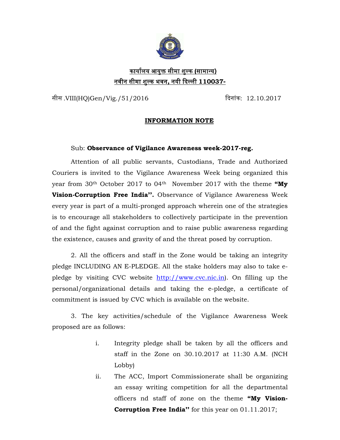

## कायालय आय र् क्त सीमा श ु ल्क ु **(**सामान्य**)** नवीन सीमा शुल्क भवन**,** नयी िदल्ली **110037-**

सीस .VIII(HQ)Gen/Vig./51/2016 िदनांक: 12.10.2017

## **INFORMATION NOTE**

## Sub: **Observance of Vigilance Awareness week-2017-reg.**

Attention of all public servants, Custodians, Trade and Authorized Couriers is invited to the Vigilance Awareness Week being organized this year from 30th October 2017 to 04th November 2017 with the theme **"My Vision-Corruption Free India''.** Observance of Vigilance Awareness Week every year is part of a multi-pronged approach wherein one of the strategies is to encourage all stakeholders to collectively participate in the prevention of and the fight against corruption and to raise public awareness regarding the existence, causes and gravity of and the threat posed by corruption.

2. All the officers and staff in the Zone would be taking an integrity pledge INCLUDING AN E-PLEDGE. All the stake holders may also to take epledge by visiting CVC website http://www.cvc.nic.in. personal/organizational details and taking the e-pledge, a certificate of commitment is issued by CVC which is available on the website.

3. The key activities/schedule of the Vigilance Awareness Week proposed are as follows:

- i. Integrity pledge shall be taken by all the officers and staff in the Zone on 30.10.2017 at 11:30 A.M. (NCH Lobby)
- ii. The ACC, Import Commissionerate shall be organizing an essay writing competition for all the departmental officers nd staff of zone on the theme **"My Vision-Corruption Free India''** for this year on 01.11.2017;